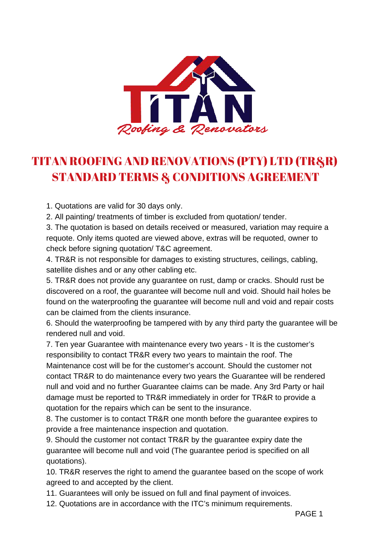

## TITAN ROOFING AND RENOVATIONS (PTY) LTD (TR&R) **STANDARD TERMS & CONDITIONS AGREEMENT**

1. Quotations are valid for 30 days only.

2. All painting/ treatments of timber is excluded from quotation/ tender.

3. The quotation is based on details received or measured, variation may require a requote. Only items quoted are viewed above, extras will be requoted, owner to check before signing quotation/ T&C agreement.

4. TR&R is not responsible for damages to existing structures, ceilings, cabling, satellite dishes and or any other cabling etc.

5. TR&R does not provide any guarantee on rust, damp or cracks. Should rust be discovered on a roof, the guarantee will become null and void. Should hail holes be found on the waterproofing the guarantee will become null and void and repair costs can be claimed from the clients insurance.

6. Should the waterproofing be tampered with by any third party the guarantee will be rendered null and void.

7. Ten year Guarantee with maintenance every two years - It is the customer's responsibility to contact TR&R every two years to maintain the roof. The Maintenance cost will be for the customer's account. Should the customer not contact TR&R to do maintenance every two years the Guarantee will be rendered null and void and no further Guarantee claims can be made. Any 3rd Party or hail damage must be reported to TR&R immediately in order for TR&R to provide a quotation for the repairs which can be sent to the insurance.

8. The customer is to contact TR&R one month before the guarantee expires to provide a free maintenance inspection and quotation.

9. Should the customer not contact TR&R by the guarantee expiry date the guarantee will become null and void (The guarantee period is specified on all quotations).

10. TR&R reserves the right to amend the guarantee based on the scope of work agreed to and accepted by the client.

11. Guarantees will only be issued on full and final payment of invoices.

12. Quotations are in accordance with the ITC's minimum requirements.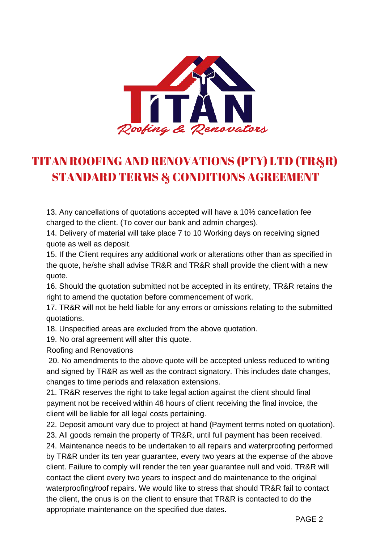

## TITAN ROOFING AND RENOVATIONS (PTY) LTD (TR&R) **STANDARD TERMS & CONDITIONS AGREEMENT**

13. Any cancellations of quotations accepted will have a 10% cancellation fee charged to the client. (To cover our bank and admin charges).

14. Delivery of material will take place 7 to 10 Working days on receiving signed quote as well as deposit.

15. If the Client requires any additional work or alterations other than as specified in the quote, he/she shall advise TR&R and TR&R shall provide the client with a new quote.

16. Should the quotation submitted not be accepted in its entirety, TR&R retains the right to amend the quotation before commencement of work.

17. TR&R will not be held liable for any errors or omissions relating to the submitted quotations.

18. Unspecified areas are excluded from the above quotation.

19. No oral agreement will alter this quote.

Roofing and Renovations

 20. No amendments to the above quote will be accepted unless reduced to writing and signed by TR&R as well as the contract signatory. This includes date changes, changes to time periods and relaxation extensions.

21. TR&R reserves the right to take legal action against the client should final payment not be received within 48 hours of client receiving the final invoice, the client will be liable for all legal costs pertaining.

22. Deposit amount vary due to project at hand (Payment terms noted on quotation). 23. All goods remain the property of TR&R, until full payment has been received.

24. Maintenance needs to be undertaken to all repairs and waterproofing performed by TR&R under its ten year guarantee, every two years at the expense of the above client. Failure to comply will render the ten year guarantee null and void. TR&R will contact the client every two years to inspect and do maintenance to the original waterproofing/roof repairs. We would like to stress that should TR&R fail to contact the client, the onus is on the client to ensure that TR&R is contacted to do the appropriate maintenance on the specified due dates.